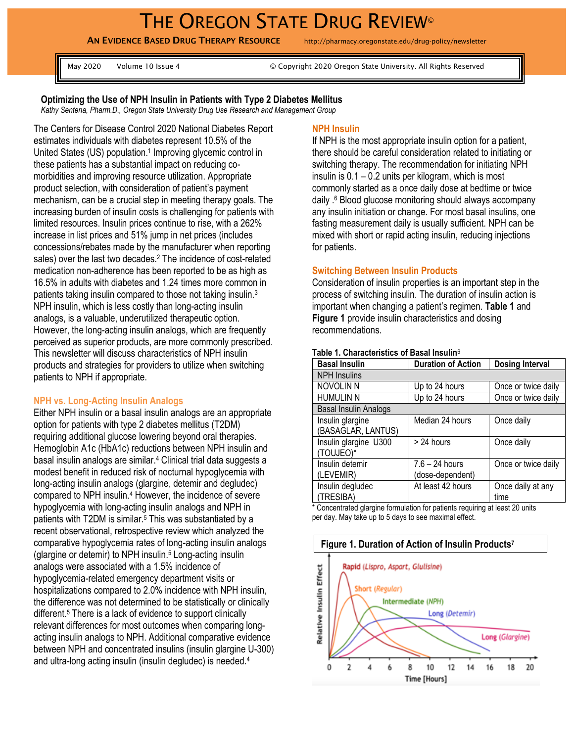# THE OREGON STATE DRUG REVIEW®

**AN EVIDENCE BASED DRUG THERAPY RESOURCE** http://pharmacy.oregonstate.edu/drug-policy/newsletter

May 2020 Volume 10 Issue 4 © Copyright 2020 Oregon State University. All Rights Reserved

#### **Optimizing the Use of NPH Insulin in Patients with Type 2 Diabetes Mellitus**

*Kathy Sentena, Pharm.D., Oregon State University Drug Use Research and Management Group* 

The Centers for Disease Control 2020 National Diabetes Report estimates individuals with diabetes represent 10.5% of the United States (US) population.<sup>1</sup> Improving glycemic control in these patients has a substantial impact on reducing comorbidities and improving resource utilization. Appropriate product selection, with consideration of patient's payment mechanism, can be a crucial step in meeting therapy goals. The increasing burden of insulin costs is challenging for patients with limited resources. Insulin prices continue to rise, with a 262% increase in list prices and 51% jump in net prices (includes concessions/rebates made by the manufacturer when reporting sales) over the last two decades.<sup>2</sup> The incidence of cost-related medication non-adherence has been reported to be as high as 16.5% in adults with diabetes and 1.24 times more common in patients taking insulin compared to those not taking insulin.<sup>3</sup> NPH insulin, which is less costly than long-acting insulin analogs, is a valuable, underutilized therapeutic option. However, the long-acting insulin analogs, which are frequently perceived as superior products, are more commonly prescribed. This newsletter will discuss characteristics of NPH insulin products and strategies for providers to utilize when switching patients to NPH if appropriate.

#### **NPH vs. Long-Acting Insulin Analogs**

Either NPH insulin or a basal insulin analogs are an appropriate option for patients with type 2 diabetes mellitus (T2DM) requiring additional glucose lowering beyond oral therapies. Hemoglobin A1c (HbA1c) reductions between NPH insulin and basal insulin analogs are similar.<sup>4</sup> Clinical trial data suggests a modest benefit in reduced risk of nocturnal hypoglycemia with long-acting insulin analogs (glargine, detemir and degludec) compared to NPH insulin.<sup>4</sup> However, the incidence of severe hypoglycemia with long-acting insulin analogs and NPH in patients with T2DM is similar.<sup>5</sup> This was substantiated by a recent observational, retrospective review which analyzed the comparative hypoglycemia rates of long-acting insulin analogs (glargine or detemir) to NPH insulin. <sup>5</sup> Long-acting insulin analogs were associated with a 1.5% incidence of hypoglycemia-related emergency department visits or hospitalizations compared to 2.0% incidence with NPH insulin, the difference was not determined to be statistically or clinically different.<sup>5</sup> There is a lack of evidence to support clinically relevant differences for most outcomes when comparing longacting insulin analogs to NPH. Additional comparative evidence between NPH and concentrated insulins (insulin glargine U-300) and ultra-long acting insulin (insulin degludec) is needed.<sup>4</sup>

#### **NPH Insulin**

If NPH is the most appropriate insulin option for a patient, there should be careful consideration related to initiating or switching therapy. The recommendation for initiating NPH insulin is 0.1 – 0.2 units per kilogram, which is most commonly started as a once daily dose at bedtime or twice daily . <sup>6</sup> Blood glucose monitoring should always accompany any insulin initiation or change. For most basal insulins, one fasting measurement daily is usually sufficient. NPH can be mixed with short or rapid acting insulin, reducing injections for patients.

#### **Switching Between Insulin Products**

Consideration of insulin properties is an important step in the process of switching insulin. The duration of insulin action is important when changing a patient's regimen. **Table 1** and **Figure 1** provide insulin characteristics and dosing recommendations.

| <b>Basal Insulin</b>  | <b>Duration of Action</b> | <b>Dosing Interval</b> |
|-----------------------|---------------------------|------------------------|
| <b>NPH</b> Insulins   |                           |                        |
| <b>NOVOLIN N</b>      | Up to 24 hours            | Once or twice daily    |
| <b>HUMULIN N</b>      | Up to 24 hours            | Once or twice daily    |
| Basal Insulin Analogs |                           |                        |
| Insulin glargine      | Median 24 hours           | Once daily             |
| (BASAGLAR, LANTUS)    |                           |                        |
| Insulin glargine U300 | > 24 hours                | Once daily             |
| TOUJEO)*              |                           |                        |
| Insulin detemir       | $7.6 - 24$ hours          | Once or twice daily    |
| (LEVEMIR)             | (dose-dependent)          |                        |
| Insulin degludec      | At least 42 hours         | Once daily at any      |
| <b>TRESIBA)</b>       |                           | time                   |

#### **Table 1. Characteristics of Basal Insulin**<sup>6</sup>

\* Concentrated glargine formulation for patients requiring at least 20 units per day. May take up to 5 days to see maximal effect.

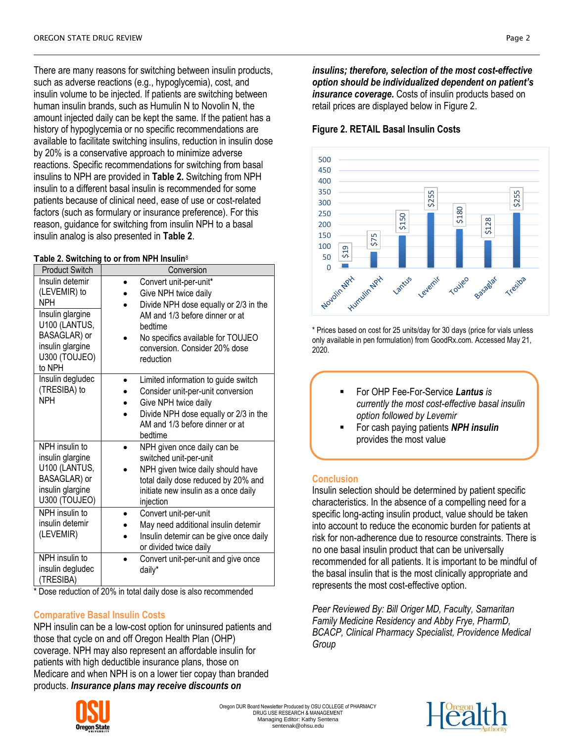There are many reasons for switching between insulin products, such as adverse reactions (e.g., hypoglycemia), cost, and insulin volume to be injected. If patients are switching between human insulin brands, such as Humulin N to Novolin N, the amount injected daily can be kept the same. If the patient has a history of hypoglycemia or no specific recommendations are available to facilitate switching insulins, reduction in insulin dose by 20% is a conservative approach to minimize adverse reactions. Specific recommendations for switching from basal insulins to NPH are provided in **Table 2.** Switching from NPH insulin to a different basal insulin is recommended for some patients because of clinical need, ease of use or cost-related factors (such as formulary or insurance preference). For this reason, guidance for switching from insulin NPH to a basal insulin analog is also presented in **Table 2**.

#### **Table 2. Switching to or from NPH Insulin**<sup>8</sup>

| <b>Product Switch</b>                                                                                                                             | Conversion                                                                                                                                                                                                              |
|---------------------------------------------------------------------------------------------------------------------------------------------------|-------------------------------------------------------------------------------------------------------------------------------------------------------------------------------------------------------------------------|
| Insulin detemir<br>(LEVEMIR) to<br><b>NPH</b><br>Insulin glargine<br>U100 (LANTUS,<br>BASAGLAR) or<br>insulin glargine<br>U300 (TOUJEO)<br>to NPH | Convert unit-per-unit*<br>Give NPH twice daily<br>Divide NPH dose equally or 2/3 in the<br>AM and 1/3 before dinner or at<br>bedtime<br>No specifics available for TOUJEO<br>conversion. Consider 20% dose<br>reduction |
| Insulin degludec<br>(TRESIBA) to<br><b>NPH</b>                                                                                                    | Limited information to guide switch<br>Consider unit-per-unit conversion<br>Give NPH twice daily<br>Divide NPH dose equally or 2/3 in the<br>AM and 1/3 before dinner or at<br>bedtime                                  |
| NPH insulin to<br>insulin glargine<br>U100 (LANTUS,<br>BASAGLAR) or<br>insulin glargine<br>U300 (TOUJEO)                                          | NPH given once daily can be<br>switched unit-per-unit<br>NPH given twice daily should have<br>total daily dose reduced by 20% and<br>initiate new insulin as a once daily<br>injection                                  |
| NPH insulin to<br>insulin detemir<br>(LEVEMIR)                                                                                                    | Convert unit-per-unit<br>May need additional insulin detemir<br>Insulin detemir can be give once daily<br>or divided twice daily                                                                                        |
| NPH insulin to<br>insulin degludec<br>(TRESIBA)                                                                                                   | Convert unit-per-unit and give once<br>daily*                                                                                                                                                                           |

\* Dose reduction of 20% in total daily dose is also recommended

## **Comparative Basal Insulin Costs**

NPH insulin can be a low-cost option for uninsured patients and those that cycle on and off Oregon Health Plan (OHP) coverage. NPH may also represent an affordable insulin for patients with high deductible insurance plans, those on Medicare and when NPH is on a lower tier copay than branded products. *Insurance plans may receive discounts on* 



Oregon DUR Board Newsletter Produced by OSU COLLEGE of PHARMACY DRUG USE RESEARCH & MANAGEMENT Managing Editor: Kathy Sentena sentenak@ohsu.edu



*insulins; therefore, selection of the most cost-effective option should be individualized dependent on patient's insurance coverage.* Costs of insulin products based on retail prices are displayed below in Figure 2.

## **Figure 2. RETAIL Basal Insulin Costs**



\* Prices based on cost for 25 units/day for 30 days (price for vials unless only available in pen formulation) from GoodRx.com. Accessed May 21, 2020.

| For OHP Fee-For-Service Lantus is               |
|-------------------------------------------------|
| currently the most cost-effective basal insulin |
| option followed by Levemir                      |
| $\Gamma$ an saab naving nationte AIDH inquitin  |

 For cash paying patients *NPH insulin* provides the most value

### **Conclusion**

Insulin selection should be determined by patient specific characteristics. In the absence of a compelling need for a specific long-acting insulin product, value should be taken into account to reduce the economic burden for patients at risk for non-adherence due to resource constraints. There is no one basal insulin product that can be universally recommended for all patients. It is important to be mindful of the basal insulin that is the most clinically appropriate and represents the most cost-effective option.

*Peer Reviewed By: Bill Origer MD, Faculty, Samaritan Family Medicine Residency and Abby Frye, PharmD, BCACP, Clinical Pharmacy Specialist, Providence Medical Group*